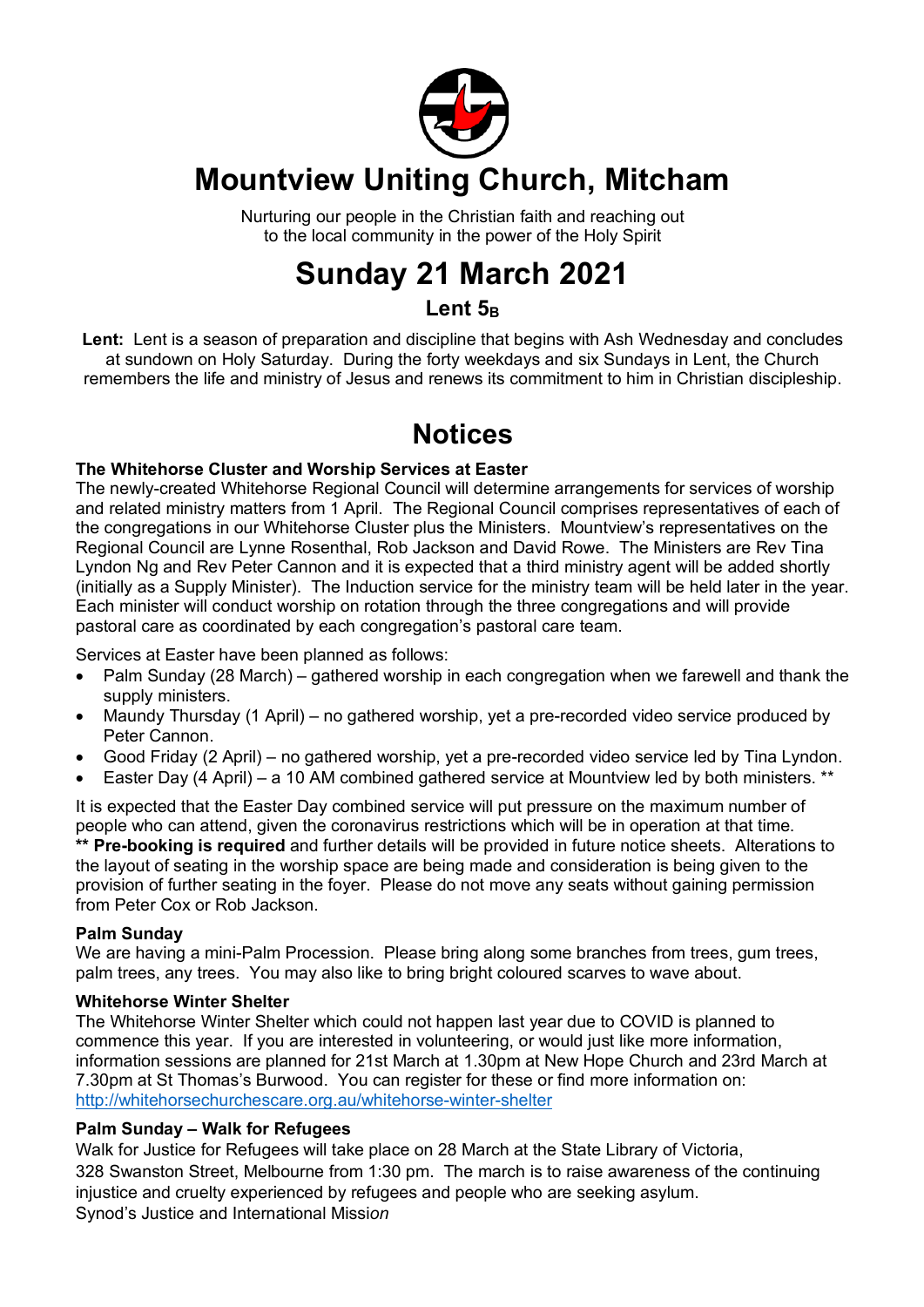

## **Mountview Uniting Church, Mitcham**

Nurturing our people in the Christian faith and reaching out to the local community in the power of the Holy Spirit

## **Sunday 21 March 2021**

## Lent<sub>5B</sub>

**Lent:** Lent is a season of preparation and discipline that begins with Ash Wednesday and concludes at sundown on Holy Saturday. During the forty weekdays and six Sundays in Lent, the Church remembers the life and ministry of Jesus and renews its commitment to him in Christian discipleship.

## **Notices**

#### **The Whitehorse Cluster and Worship Services at Easter**

The newly-created Whitehorse Regional Council will determine arrangements for services of worship and related ministry matters from 1 April. The Regional Council comprises representatives of each of the congregations in our Whitehorse Cluster plus the Ministers. Mountview's representatives on the Regional Council are Lynne Rosenthal, Rob Jackson and David Rowe. The Ministers are Rev Tina Lyndon Ng and Rev Peter Cannon and it is expected that a third ministry agent will be added shortly (initially as a Supply Minister). The Induction service for the ministry team will be held later in the year. Each minister will conduct worship on rotation through the three congregations and will provide pastoral care as coordinated by each congregation's pastoral care team.

Services at Easter have been planned as follows:

- Palm Sunday (28 March) gathered worship in each congregation when we farewell and thank the supply ministers.
- Maundy Thursday (1 April) no gathered worship, yet a pre-recorded video service produced by Peter Cannon.
- Good Friday (2 April) no gathered worship, yet a pre-recorded video service led by Tina Lyndon.
- Easter Day (4 April) a 10 AM combined gathered service at Mountview led by both ministers. \*\*

It is expected that the Easter Day combined service will put pressure on the maximum number of people who can attend, given the coronavirus restrictions which will be in operation at that time. **\*\* Pre-booking is required** and further details will be provided in future notice sheets. Alterations to the layout of seating in the worship space are being made and consideration is being given to the provision of further seating in the foyer. Please do not move any seats without gaining permission from Peter Cox or Rob Jackson.

#### **Palm Sunday**

We are having a mini-Palm Procession. Please bring along some branches from trees, gum trees, palm trees, any trees. You may also like to bring bright coloured scarves to wave about.

#### **Whitehorse Winter Shelter**

The Whitehorse Winter Shelter which could not happen last year due to COVID is planned to commence this year. If you are interested in volunteering, or would just like more information, information sessions are planned for 21st March at 1.30pm at New Hope Church and 23rd March at 7.30pm at St Thomas's Burwood. You can register for these or find more information on: http://whitehorsechurchescare.org.au/whitehorse-winter-shelter

#### **Palm Sunday – Walk for Refugees**

Walk for Justice for Refugees will take place on 28 March at the State Library of Victoria, 328 Swanston Street, Melbourne from 1:30 pm. The march is to raise awareness of the continuing injustice and cruelty experienced by refugees and people who are seeking asylum. Synod's Justice and International Missi*on*